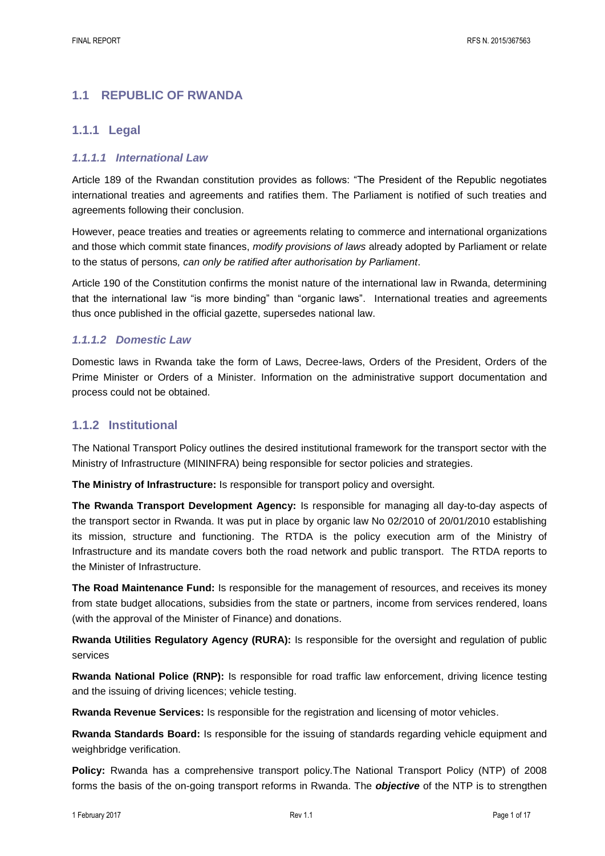## **1.1 REPUBLIC OF RWANDA**

## **1.1.1 Legal**

### *1.1.1.1 International Law*

Article 189 of the Rwandan constitution provides as follows: "The President of the Republic negotiates international treaties and agreements and ratifies them. The Parliament is notified of such treaties and agreements following their conclusion.

However, peace treaties and treaties or agreements relating to commerce and international organizations and those which commit state finances, *modify provisions of laws* already adopted by Parliament or relate to the status of persons*, can only be ratified after authorisation by Parliament*.

Article 190 of the Constitution confirms the monist nature of the international law in Rwanda, determining that the international law "is more binding" than "organic laws". International treaties and agreements thus once published in the official gazette, supersedes national law.

#### *1.1.1.2 Domestic Law*

Domestic laws in Rwanda take the form of Laws, Decree-laws, Orders of the President, Orders of the Prime Minister or Orders of a Minister. Information on the administrative support documentation and process could not be obtained.

## **1.1.2 Institutional**

The National Transport Policy outlines the desired institutional framework for the transport sector with the Ministry of Infrastructure (MININFRA) being responsible for sector policies and strategies.

**The Ministry of Infrastructure:** Is responsible for transport policy and oversight.

**The Rwanda Transport Development Agency:** Is responsible for managing all day-to-day aspects of the transport sector in Rwanda. It was put in place by organic law No 02/2010 of 20/01/2010 establishing its mission, structure and functioning. The RTDA is the policy execution arm of the Ministry of Infrastructure and its mandate covers both the road network and public transport. The RTDA reports to the Minister of Infrastructure.

**The Road Maintenance Fund:** Is responsible for the management of resources, and receives its money from state budget allocations, subsidies from the state or partners, income from services rendered, loans (with the approval of the Minister of Finance) and donations.

**Rwanda Utilities Regulatory Agency (RURA):** Is responsible for the oversight and regulation of public services

**Rwanda National Police (RNP):** Is responsible for road traffic law enforcement, driving licence testing and the issuing of driving licences; vehicle testing.

**Rwanda Revenue Services:** Is responsible for the registration and licensing of motor vehicles.

**Rwanda Standards Board:** Is responsible for the issuing of standards regarding vehicle equipment and weighbridge verification.

**Policy:** Rwanda has a comprehensive transport policy.The National Transport Policy (NTP) of 2008 forms the basis of the on-going transport reforms in Rwanda. The *objective* of the NTP is to strengthen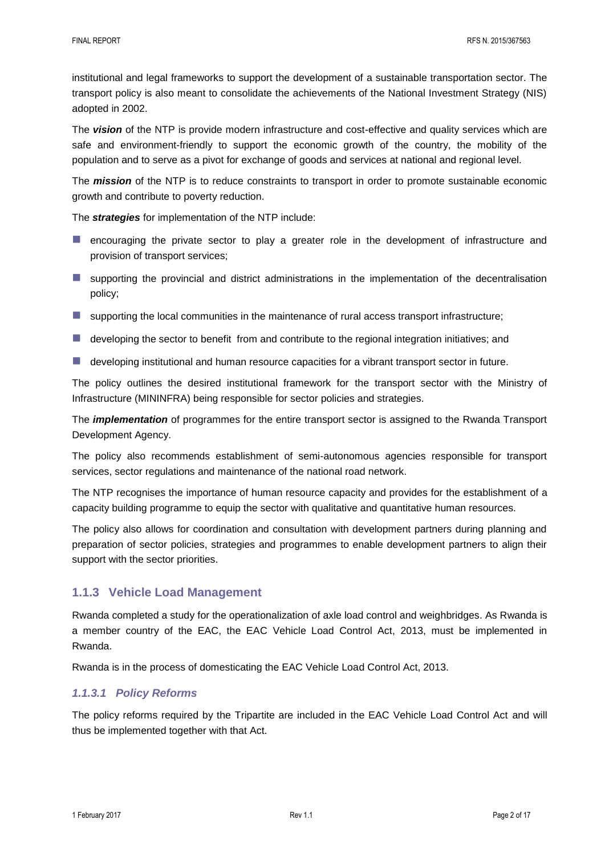institutional and legal frameworks to support the development of a sustainable transportation sector. The transport policy is also meant to consolidate the achievements of the National Investment Strategy (NIS) adopted in 2002.

The *vision* of the NTP is provide modern infrastructure and cost-effective and quality services which are safe and environment-friendly to support the economic growth of the country, the mobility of the population and to serve as a pivot for exchange of goods and services at national and regional level.

The *mission* of the NTP is to reduce constraints to transport in order to promote sustainable economic growth and contribute to poverty reduction.

The *strategies* for implementation of the NTP include:

- **E** encouraging the private sector to play a greater role in the development of infrastructure and provision of transport services;
- $\blacksquare$  supporting the provincial and district administrations in the implementation of the decentralisation policy;
- $\blacksquare$  supporting the local communities in the maintenance of rural access transport infrastructure;
- developing the sector to benefit from and contribute to the regional integration initiatives; and
- **developing institutional and human resource capacities for a vibrant transport sector in future.**

The policy outlines the desired institutional framework for the transport sector with the Ministry of Infrastructure (MININFRA) being responsible for sector policies and strategies.

The *implementation* of programmes for the entire transport sector is assigned to the Rwanda Transport Development Agency.

The policy also recommends establishment of semi-autonomous agencies responsible for transport services, sector regulations and maintenance of the national road network.

The NTP recognises the importance of human resource capacity and provides for the establishment of a capacity building programme to equip the sector with qualitative and quantitative human resources.

The policy also allows for coordination and consultation with development partners during planning and preparation of sector policies, strategies and programmes to enable development partners to align their support with the sector priorities.

## **1.1.3 Vehicle Load Management**

Rwanda completed a study for the operationalization of axle load control and weighbridges. As Rwanda is a member country of the EAC, the EAC Vehicle Load Control Act, 2013, must be implemented in Rwanda.

Rwanda is in the process of domesticating the EAC Vehicle Load Control Act, 2013.

## *1.1.3.1 Policy Reforms*

The policy reforms required by the Tripartite are included in the EAC Vehicle Load Control Act and will thus be implemented together with that Act.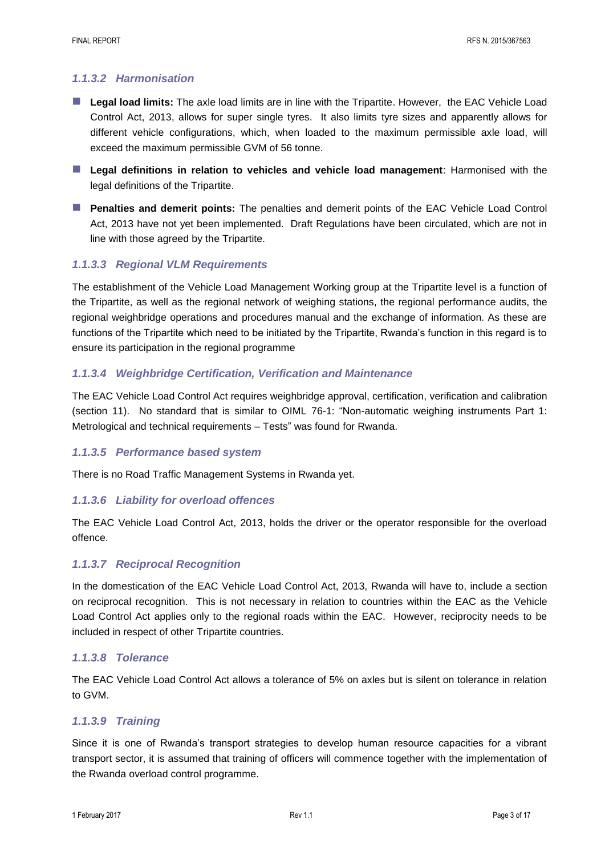## *1.1.3.2 Harmonisation*

- **Legal load limits:** The axle load limits are in line with the Tripartite. However, the EAC Vehicle Load Control Act, 2013, allows for super single tyres. It also limits tyre sizes and apparently allows for different vehicle configurations, which, when loaded to the maximum permissible axle load, will exceed the maximum permissible GVM of 56 tonne.
- **Legal definitions in relation to vehicles and vehicle load management**: Harmonised with the legal definitions of the Tripartite.
- **Penalties and demerit points:** The penalties and demerit points of the EAC Vehicle Load Control Act, 2013 have not yet been implemented. Draft Regulations have been circulated, which are not in line with those agreed by the Tripartite.

## *1.1.3.3 Regional VLM Requirements*

The establishment of the Vehicle Load Management Working group at the Tripartite level is a function of the Tripartite, as well as the regional network of weighing stations, the regional performance audits, the regional weighbridge operations and procedures manual and the exchange of information. As these are functions of the Tripartite which need to be initiated by the Tripartite, Rwanda's function in this regard is to ensure its participation in the regional programme

#### *1.1.3.4 Weighbridge Certification, Verification and Maintenance*

The EAC Vehicle Load Control Act requires weighbridge approval, certification, verification and calibration (section 11). No standard that is similar to OIML 76-1: "Non-automatic weighing instruments Part 1: Metrological and technical requirements – Tests" was found for Rwanda.

#### *1.1.3.5 Performance based system*

There is no Road Traffic Management Systems in Rwanda yet.

#### *1.1.3.6 Liability for overload offences*

The EAC Vehicle Load Control Act, 2013, holds the driver or the operator responsible for the overload offence.

## *1.1.3.7 Reciprocal Recognition*

In the domestication of the EAC Vehicle Load Control Act, 2013, Rwanda will have to, include a section on reciprocal recognition. This is not necessary in relation to countries within the EAC as the Vehicle Load Control Act applies only to the regional roads within the EAC. However, reciprocity needs to be included in respect of other Tripartite countries.

#### *1.1.3.8 Tolerance*

The EAC Vehicle Load Control Act allows a tolerance of 5% on axles but is silent on tolerance in relation to GVM.

#### *1.1.3.9 Training*

Since it is one of Rwanda's transport strategies to develop human resource capacities for a vibrant transport sector, it is assumed that training of officers will commence together with the implementation of the Rwanda overload control programme.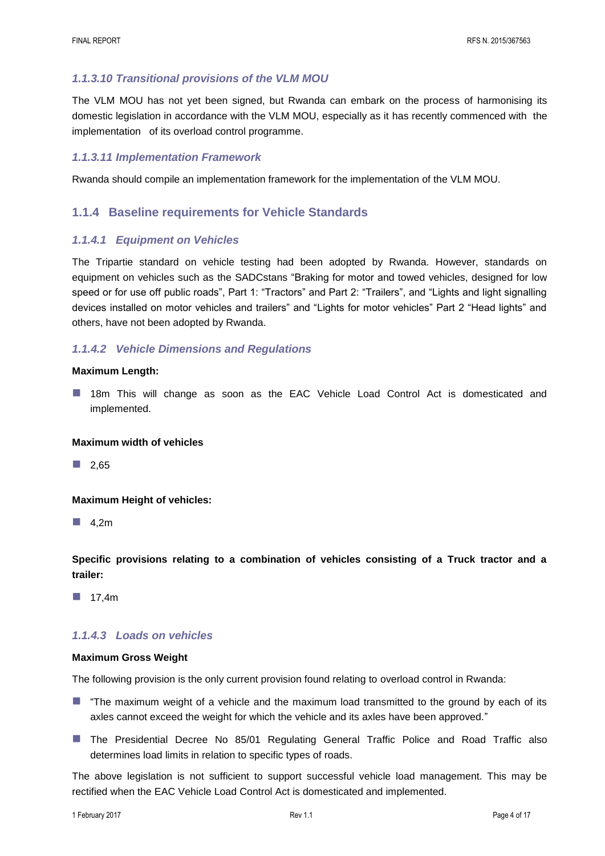## *1.1.3.10 Transitional provisions of the VLM MOU*

The VLM MOU has not yet been signed, but Rwanda can embark on the process of harmonising its domestic legislation in accordance with the VLM MOU, especially as it has recently commenced with the implementation of its overload control programme.

#### *1.1.3.11 Implementation Framework*

Rwanda should compile an implementation framework for the implementation of the VLM MOU.

## **1.1.4 Baseline requirements for Vehicle Standards**

#### *1.1.4.1 Equipment on Vehicles*

The Tripartie standard on vehicle testing had been adopted by Rwanda. However, standards on equipment on vehicles such as the SADCstans "Braking for motor and towed vehicles, designed for low speed or for use off public roads", Part 1: "Tractors" and Part 2: "Trailers", and "Lights and light signalling devices installed on motor vehicles and trailers" and "Lights for motor vehicles" Part 2 "Head lights" and others, have not been adopted by Rwanda.

## *1.1.4.2 Vehicle Dimensions and Regulations*

#### **Maximum Length:**

**18m This will change as soon as the EAC Vehicle Load Control Act is domesticated and** implemented.

#### **Maximum width of vehicles**

 $\Box$  2.65

#### **Maximum Height of vehicles:**

 $\blacksquare$  4,2m

**Specific provisions relating to a combination of vehicles consisting of a Truck tractor and a trailer:**

 $\blacksquare$  17.4m

## *1.1.4.3 Loads on vehicles*

#### **Maximum Gross Weight**

The following provision is the only current provision found relating to overload control in Rwanda:

- **T** "The maximum weight of a vehicle and the maximum load transmitted to the ground by each of its axles cannot exceed the weight for which the vehicle and its axles have been approved."
- **The Presidential Decree No 85/01 Regulating General Traffic Police and Road Traffic also** determines load limits in relation to specific types of roads.

The above legislation is not sufficient to support successful vehicle load management. This may be rectified when the EAC Vehicle Load Control Act is domesticated and implemented.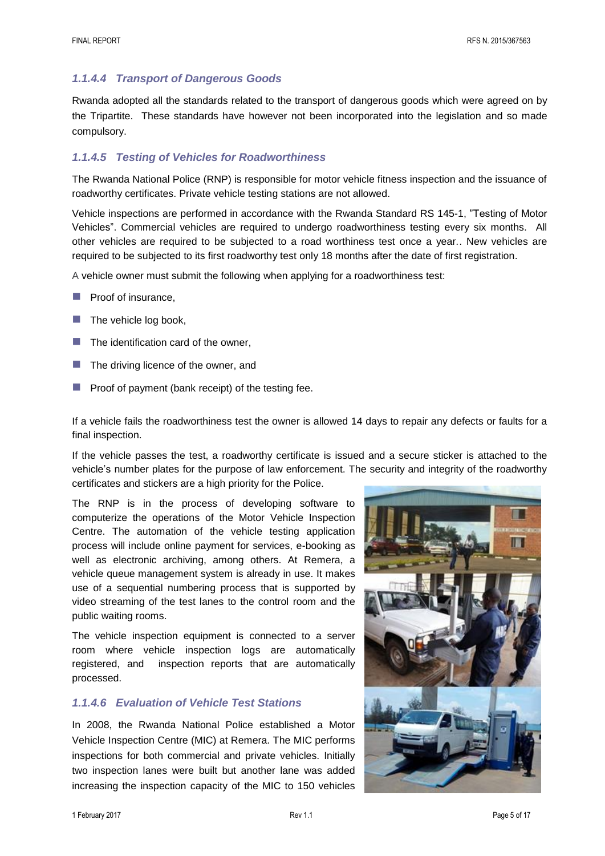## *1.1.4.4 Transport of Dangerous Goods*

Rwanda adopted all the standards related to the transport of dangerous goods which were agreed on by the Tripartite. These standards have however not been incorporated into the legislation and so made compulsory.

## *1.1.4.5 Testing of Vehicles for Roadworthiness*

The Rwanda National Police (RNP) is responsible for motor vehicle fitness inspection and the issuance of roadworthy certificates. Private vehicle testing stations are not allowed.

Vehicle inspections are performed in accordance with the Rwanda Standard RS 145-1, "Testing of Motor Vehicles". Commercial vehicles are required to undergo roadworthiness testing every six months. All other vehicles are required to be subjected to a road worthiness test once a year.. New vehicles are required to be subjected to its first roadworthy test only 18 months after the date of first registration.

A vehicle owner must submit the following when applying for a roadworthiness test:

- Proof of insurance,
- $\blacksquare$  The vehicle log book,
- The identification card of the owner,
- The driving licence of the owner, and
- Proof of payment (bank receipt) of the testing fee.

If a vehicle fails the roadworthiness test the owner is allowed 14 days to repair any defects or faults for a final inspection.

If the vehicle passes the test, a roadworthy certificate is issued and a secure sticker is attached to the vehicle's number plates for the purpose of law enforcement. The security and integrity of the roadworthy certificates and stickers are a high priority for the Police.

The RNP is in the process of developing software to computerize the operations of the Motor Vehicle Inspection Centre. The automation of the vehicle testing application process will include online payment for services, e-booking as well as electronic archiving, among others. At Remera, a vehicle queue management system is already in use. It makes use of a sequential numbering process that is supported by video streaming of the test lanes to the control room and the public waiting rooms.

The vehicle inspection equipment is connected to a server room where vehicle inspection logs are automatically registered, and inspection reports that are automatically processed.

#### *1.1.4.6 Evaluation of Vehicle Test Stations*

In 2008, the Rwanda National Police established a Motor Vehicle Inspection Centre (MIC) at Remera. The MIC performs inspections for both commercial and private vehicles. Initially two inspection lanes were built but another lane was added increasing the inspection capacity of the MIC to 150 vehicles

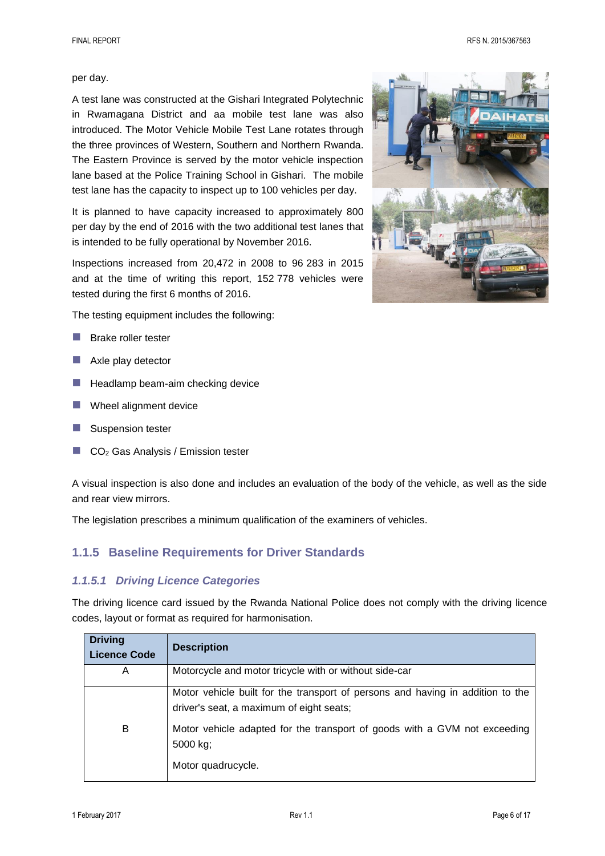FINAL REPORT RFS N. 2015/367563

#### per day.

A test lane was constructed at the Gishari Integrated Polytechnic in Rwamagana District and aa mobile test lane was also introduced. The Motor Vehicle Mobile Test Lane rotates through the three provinces of Western, Southern and Northern Rwanda. The Eastern Province is served by the motor vehicle inspection lane based at the Police Training School in Gishari. The mobile test lane has the capacity to inspect up to 100 vehicles per day.

It is planned to have capacity increased to approximately 800 per day by the end of 2016 with the two additional test lanes that is intended to be fully operational by November 2016.

Inspections increased from 20,472 in 2008 to 96 283 in 2015 and at the time of writing this report, 152 778 vehicles were tested during the first 6 months of 2016.

The testing equipment includes the following:

- **Brake roller tester**
- Axle play detector
- $\blacksquare$  Headlamp beam-aim checking device
- Wheel alignment device
- Suspension tester
- CO<sup>2</sup> Gas Analysis / Emission tester

A visual inspection is also done and includes an evaluation of the body of the vehicle, as well as the side and rear view mirrors.

The legislation prescribes a minimum qualification of the examiners of vehicles.

## **1.1.5 Baseline Requirements for Driver Standards**

## *1.1.5.1 Driving Licence Categories*

The driving licence card issued by the Rwanda National Police does not comply with the driving licence codes, layout or format as required for harmonisation.

| <b>Driving</b><br><b>Licence Code</b> | <b>Description</b>                                                                                                         |
|---------------------------------------|----------------------------------------------------------------------------------------------------------------------------|
| A                                     | Motorcycle and motor tricycle with or without side-car                                                                     |
|                                       | Motor vehicle built for the transport of persons and having in addition to the<br>driver's seat, a maximum of eight seats; |
| B                                     | Motor vehicle adapted for the transport of goods with a GVM not exceeding<br>5000 kg;                                      |
|                                       | Motor quadrucycle.                                                                                                         |

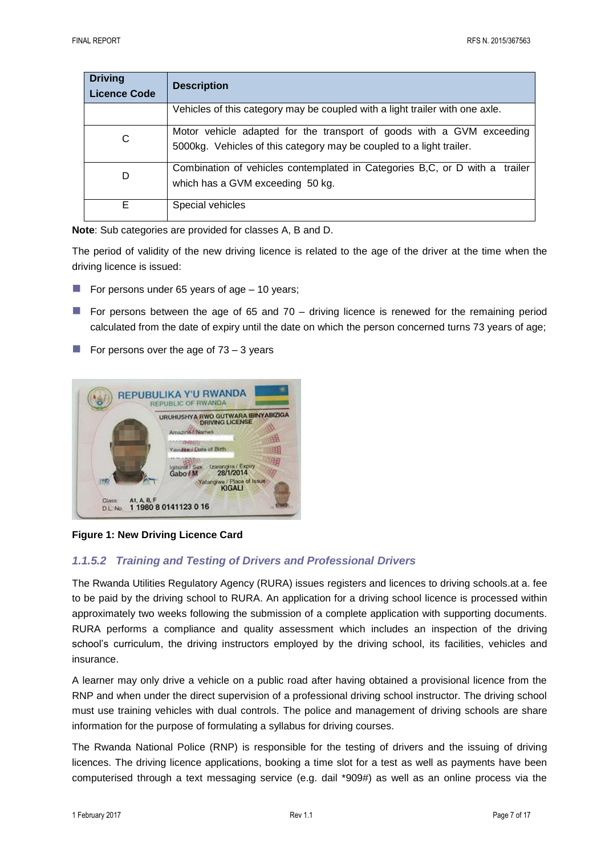| <b>Driving</b><br><b>Licence Code</b> | <b>Description</b>                                                                                                                            |
|---------------------------------------|-----------------------------------------------------------------------------------------------------------------------------------------------|
|                                       | Vehicles of this category may be coupled with a light trailer with one axle.                                                                  |
| С                                     | Motor vehicle adapted for the transport of goods with a GVM exceeding<br>5000kg. Vehicles of this category may be coupled to a light trailer. |
| D                                     | Combination of vehicles contemplated in Categories B,C, or D with a trailer<br>which has a GVM exceeding 50 kg.                               |
| Е                                     | Special vehicles                                                                                                                              |

**Note**: Sub categories are provided for classes A, B and D.

The period of validity of the new driving licence is related to the age of the driver at the time when the driving licence is issued:

- For persons under 65 years of age  $-10$  years;
- For persons between the age of 65 and 70 driving licence is renewed for the remaining period calculated from the date of expiry until the date on which the person concerned turns 73 years of age;
- For persons over the age of  $73 3$  years



**Figure 1: New Driving Licence Card**

## *1.1.5.2 Training and Testing of Drivers and Professional Drivers*

The Rwanda Utilities Regulatory Agency (RURA) issues registers and licences to driving schools.at a. fee to be paid by the driving school to RURA. An application for a driving school licence is processed within approximately two weeks following the submission of a complete application with supporting documents. RURA performs a compliance and quality assessment which includes an inspection of the driving school's curriculum, the driving instructors employed by the driving school, its facilities, vehicles and insurance.

A learner may only drive a vehicle on a public road after having obtained a provisional licence from the RNP and when under the direct supervision of a professional driving school instructor. The driving school must use training vehicles with dual controls. The police and management of driving schools are share information for the purpose of formulating a syllabus for driving courses.

The Rwanda National Police (RNP) is responsible for the testing of drivers and the issuing of driving licences. The driving licence applications, booking a time slot for a test as well as payments have been computerised through a text messaging service (e.g. dail \*909#) as well as an online process via the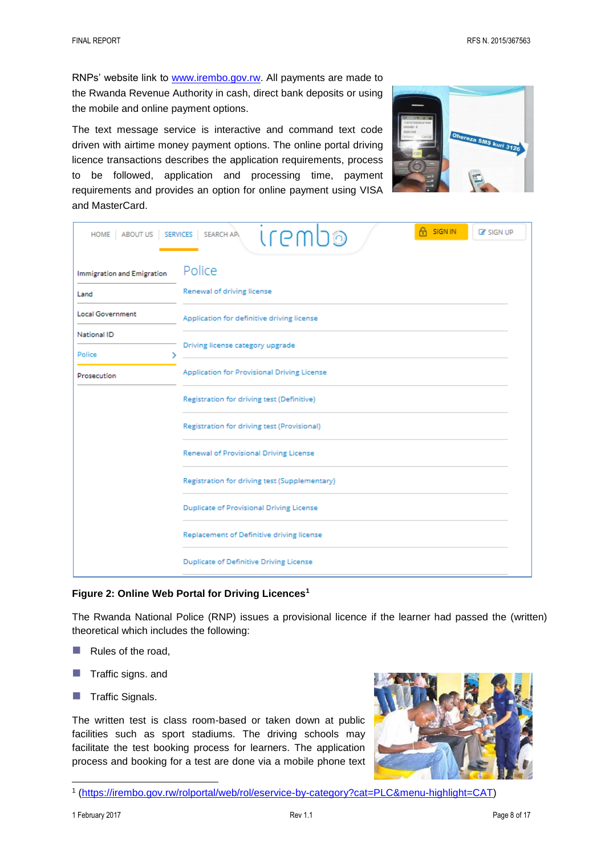RNPs' website link to [www.irembo.gov.rw.](http://www.irembo.gov.rw/) All payments are made to the Rwanda Revenue Authority in cash, direct bank deposits or using the mobile and online payment options.

The text message service is interactive and command text code driven with airtime money payment options. The online portal driving licence transactions describes the application requirements, process to be followed, application and processing time, payment requirements and provides an option for online payment using VISA and MasterCard.



| HOME ABOUT US SERVICES                      | A SIGN IN<br><b>C</b> SIGN UP<br><b>Irem</b><br><b>SEARCH API</b><br>10                   |  |  |  |  |
|---------------------------------------------|-------------------------------------------------------------------------------------------|--|--|--|--|
| <b>Immigration and Emigration</b>           | Police                                                                                    |  |  |  |  |
| Land                                        | Renewal of driving license                                                                |  |  |  |  |
| <b>Local Government</b>                     | Application for definitive driving license                                                |  |  |  |  |
| National ID                                 | Driving license category upgrade                                                          |  |  |  |  |
| Police<br>⋋                                 |                                                                                           |  |  |  |  |
| Prosecution                                 | Application for Provisional Driving License<br>Registration for driving test (Definitive) |  |  |  |  |
|                                             |                                                                                           |  |  |  |  |
| Registration for driving test (Provisional) |                                                                                           |  |  |  |  |
|                                             | Renewal of Provisional Driving License                                                    |  |  |  |  |
|                                             | Registration for driving test (Supplementary)                                             |  |  |  |  |
|                                             | <b>Duplicate of Provisional Driving License</b>                                           |  |  |  |  |
|                                             | Replacement of Definitive driving license                                                 |  |  |  |  |
|                                             | <b>Duplicate of Definitive Driving License</b>                                            |  |  |  |  |

#### **Figure 2: Online Web Portal for Driving Licences<sup>1</sup>**

The Rwanda National Police (RNP) issues a provisional licence if the learner had passed the (written) theoretical which includes the following:

- $\blacksquare$  Rules of the road,
- $\blacksquare$  Traffic signs. and
- $\blacksquare$  Traffic Signals.

The written test is class room-based or taken down at public facilities such as sport stadiums. The driving schools may facilitate the test booking process for learners. The application process and booking for a test are done via a mobile phone text



<sup>1</sup> [\(https://irembo.gov.rw/rolportal/web/rol/eservice-by-category?cat=PLC&menu-highlight=CAT\)](https://irembo.gov.rw/rolportal/web/rol/eservice-by-category?cat=PLC&menu-highlight=CAT)

l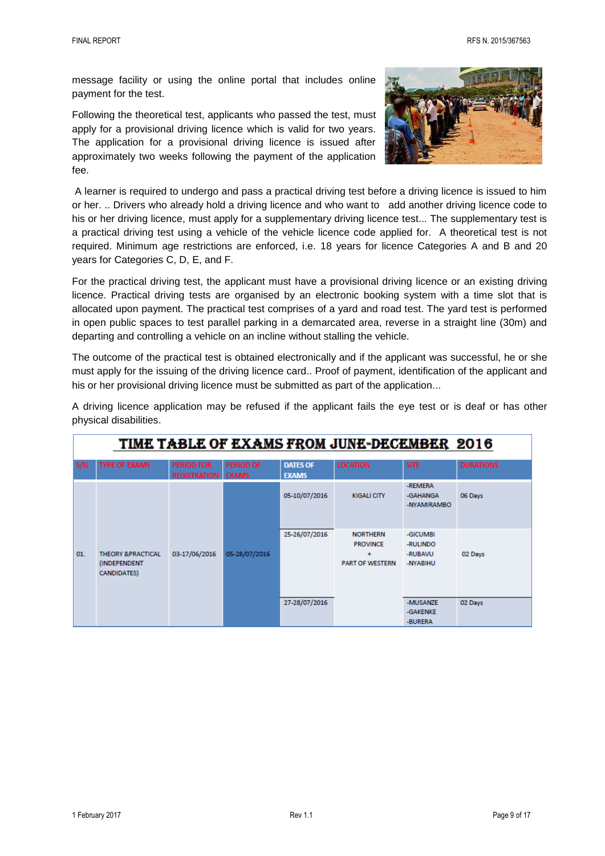message facility or using the online portal that includes online payment for the test.

Following the theoretical test, applicants who passed the test, must apply for a provisional driving licence which is valid for two years. The application for a provisional driving licence is issued after approximately two weeks following the payment of the application fee.



A learner is required to undergo and pass a practical driving test before a driving licence is issued to him or her. .. Drivers who already hold a driving licence and who want to add another driving licence code to his or her driving licence, must apply for a supplementary driving licence test... The supplementary test is a practical driving test using a vehicle of the vehicle licence code applied for. A theoretical test is not required. Minimum age restrictions are enforced, i.e. 18 years for licence Categories A and B and 20 years for Categories C, D, E, and F.

For the practical driving test, the applicant must have a provisional driving licence or an existing driving licence. Practical driving tests are organised by an electronic booking system with a time slot that is allocated upon payment. The practical test comprises of a yard and road test. The yard test is performed in open public spaces to test parallel parking in a demarcated area, reverse in a straight line (30m) and departing and controlling a vehicle on an incline without stalling the vehicle.

The outcome of the practical test is obtained electronically and if the applicant was successful, he or she must apply for the issuing of the driving licence card.. Proof of payment, identification of the applicant and his or her provisional driving licence must be submitted as part of the application...

|     | TIME TABLE OF EXAMS FROM JUNE-DECEMBER 2016                        |                                          |                                  |                                 |                                                                   |                                             |                  |
|-----|--------------------------------------------------------------------|------------------------------------------|----------------------------------|---------------------------------|-------------------------------------------------------------------|---------------------------------------------|------------------|
| S/N | <b>TYPE OF EXAMS</b>                                               | <b>PERIOD FOR</b><br><b>REGISTRATION</b> | <b>PERIOD OF</b><br><b>EXAMS</b> | <b>DATES OF</b><br><b>EXAMS</b> | <b>LOCATION</b>                                                   | <b>SITE</b>                                 | <b>DURATIONS</b> |
|     |                                                                    |                                          |                                  | 05-10/07/2016                   | <b>KIGALI CITY</b>                                                | -REMERA<br>-GAHANGA<br>-NYAMIRAMBO          | 06 Days          |
| 01. | <b>THEORY &amp;PRACTICAL</b><br>(INDEPENDENT)<br><b>CANDIDATES</b> | 03-17/06/2016                            | 05-28/07/2016                    | 25-26/07/2016                   | <b>NORTHERN</b><br><b>PROVINCE</b><br>÷<br><b>PART OF WESTERN</b> | -GICUMBI<br>-RULINDO<br>-RUBAVU<br>-NYABIHU | 02 Days          |
|     |                                                                    |                                          |                                  | 27-28/07/2016                   |                                                                   | -MUSANZE<br>-GAKENKE<br>-BURERA             | 02 Days          |

A driving licence application may be refused if the applicant fails the eye test or is deaf or has other physical disabilities.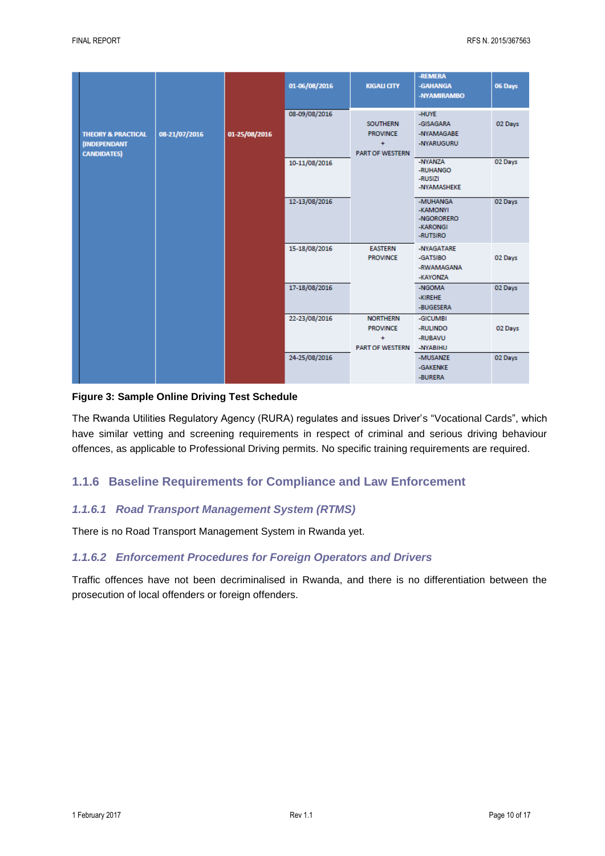|                                                                            |               |               | 01-06/08/2016 | <b>KIGALI CITY</b>                                                        | -REMERA<br>-GAHANGA<br>-NYAMIRAMBO                         | 06 Days |
|----------------------------------------------------------------------------|---------------|---------------|---------------|---------------------------------------------------------------------------|------------------------------------------------------------|---------|
| <b>THEORY &amp; PRACTICAL</b><br><b>(INDEPENDANT</b><br><b>CANDIDATES)</b> | 08-21/07/2016 | 01-25/08/2016 | 08-09/08/2016 | <b>SOUTHERN</b><br><b>PROVINCE</b><br>$\ddot{}$<br><b>PART OF WESTERN</b> | -HUYE<br>-GISAGARA<br>-NYAMAGABE<br>-NYARUGURU             | 02 Days |
|                                                                            |               |               | 10-11/08/2016 |                                                                           | -NYANZA<br>-RUHANGO<br>-RUSIZI<br>-NYAMASHEKE              | 02 Days |
|                                                                            |               |               | 12-13/08/2016 |                                                                           | -MUHANGA<br>-KAMONYI<br>-NGORORERO<br>-KARONGI<br>-RUTSIRO | 02 Days |
|                                                                            |               |               | 15-18/08/2016 | <b>EASTERN</b><br><b>PROVINCE</b>                                         | -NYAGATARE<br>-GATSIBO<br>-RWAMAGANA<br>-KAYONZA           | 02 Days |
|                                                                            |               |               | 17-18/08/2016 |                                                                           | -NGOMA<br>-KIREHE<br>-BUGESERA                             | 02 Days |
|                                                                            |               |               | 22-23/08/2016 | <b>NORTHERN</b><br><b>PROVINCE</b><br>÷<br><b>PART OF WESTERN</b>         | -GICUMBI<br>-RULINDO<br>-RUBAVU<br>-NYABIHU                | 02 Days |
|                                                                            |               |               | 24-25/08/2016 |                                                                           | -MUSANZE<br>-GAKENKE<br>-BURERA                            | 02 Days |

#### **Figure 3: Sample Online Driving Test Schedule**

The Rwanda Utilities Regulatory Agency (RURA) regulates and issues Driver's "Vocational Cards", which have similar vetting and screening requirements in respect of criminal and serious driving behaviour offences, as applicable to Professional Driving permits. No specific training requirements are required.

## **1.1.6 Baseline Requirements for Compliance and Law Enforcement**

#### *1.1.6.1 Road Transport Management System (RTMS)*

There is no Road Transport Management System in Rwanda yet.

#### *1.1.6.2 Enforcement Procedures for Foreign Operators and Drivers*

Traffic offences have not been decriminalised in Rwanda, and there is no differentiation between the prosecution of local offenders or foreign offenders.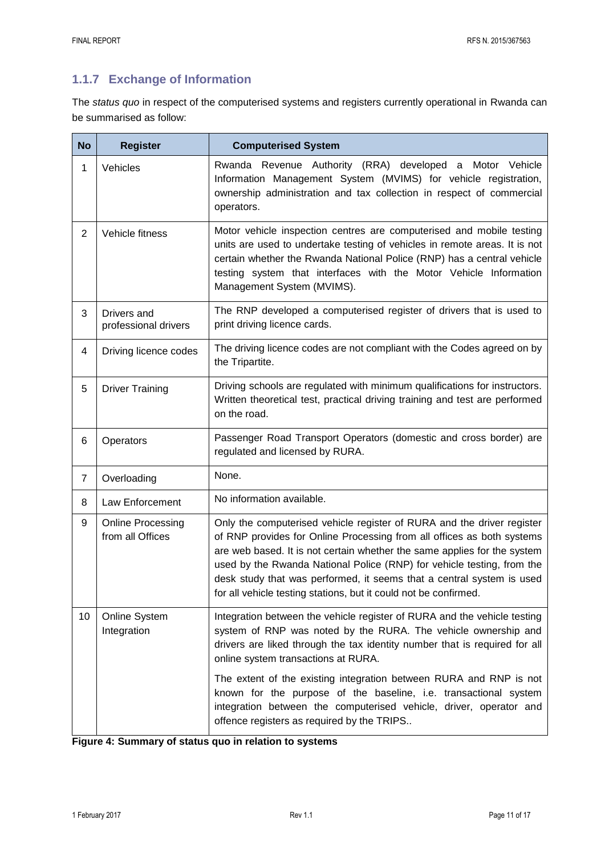## **1.1.7 Exchange of Information**

The *status quo* in respect of the computerised systems and registers currently operational in Rwanda can be summarised as follow:

| <b>No</b>      | <b>Register</b>                              | <b>Computerised System</b>                                                                                                                                                                                                                                                                                                                                                                                                                          |  |  |
|----------------|----------------------------------------------|-----------------------------------------------------------------------------------------------------------------------------------------------------------------------------------------------------------------------------------------------------------------------------------------------------------------------------------------------------------------------------------------------------------------------------------------------------|--|--|
| 1              | Vehicles                                     | Rwanda Revenue Authority (RRA) developed a Motor Vehicle<br>Information Management System (MVIMS) for vehicle registration,<br>ownership administration and tax collection in respect of commercial<br>operators.                                                                                                                                                                                                                                   |  |  |
| $\overline{2}$ | Vehicle fitness                              | Motor vehicle inspection centres are computerised and mobile testing<br>units are used to undertake testing of vehicles in remote areas. It is not<br>certain whether the Rwanda National Police (RNP) has a central vehicle<br>testing system that interfaces with the Motor Vehicle Information<br>Management System (MVIMS).                                                                                                                     |  |  |
| 3              | Drivers and<br>professional drivers          | The RNP developed a computerised register of drivers that is used to<br>print driving licence cards.                                                                                                                                                                                                                                                                                                                                                |  |  |
| 4              | Driving licence codes                        | The driving licence codes are not compliant with the Codes agreed on by<br>the Tripartite.                                                                                                                                                                                                                                                                                                                                                          |  |  |
| 5              | <b>Driver Training</b>                       | Driving schools are regulated with minimum qualifications for instructors.<br>Written theoretical test, practical driving training and test are performed<br>on the road.                                                                                                                                                                                                                                                                           |  |  |
| 6              | Operators                                    | Passenger Road Transport Operators (domestic and cross border) are<br>regulated and licensed by RURA.                                                                                                                                                                                                                                                                                                                                               |  |  |
| $\overline{7}$ | Overloading                                  | None.                                                                                                                                                                                                                                                                                                                                                                                                                                               |  |  |
| 8              | Law Enforcement                              | No information available.                                                                                                                                                                                                                                                                                                                                                                                                                           |  |  |
| 9              | <b>Online Processing</b><br>from all Offices | Only the computerised vehicle register of RURA and the driver register<br>of RNP provides for Online Processing from all offices as both systems<br>are web based. It is not certain whether the same applies for the system<br>used by the Rwanda National Police (RNP) for vehicle testing, from the<br>desk study that was performed, it seems that a central system is used<br>for all vehicle testing stations, but it could not be confirmed. |  |  |
| 10             | Online System<br>Integration                 | Integration between the vehicle register of RURA and the vehicle testing<br>system of RNP was noted by the RURA. The vehicle ownership and<br>drivers are liked through the tax identity number that is required for all<br>online system transactions at RURA.                                                                                                                                                                                     |  |  |
|                |                                              | The extent of the existing integration between RURA and RNP is not<br>known for the purpose of the baseline, i.e. transactional system<br>integration between the computerised vehicle, driver, operator and<br>offence registers as required by the TRIPS                                                                                                                                                                                          |  |  |

| Figure 4: Summary of status quo in relation to systems |  |  |  |  |  |
|--------------------------------------------------------|--|--|--|--|--|
|--------------------------------------------------------|--|--|--|--|--|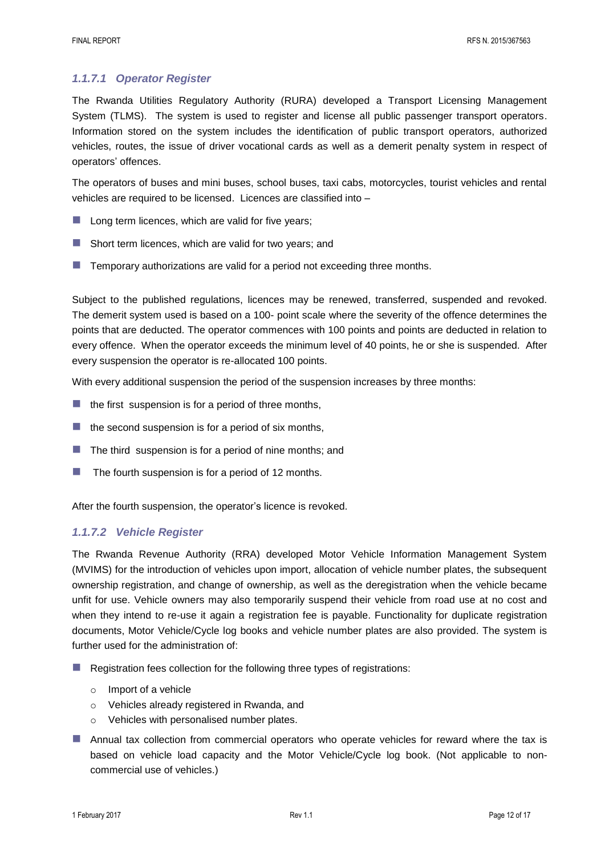## *1.1.7.1 Operator Register*

The Rwanda Utilities Regulatory Authority (RURA) developed a Transport Licensing Management System (TLMS). The system is used to register and license all public passenger transport operators. Information stored on the system includes the identification of public transport operators, authorized vehicles, routes, the issue of driver vocational cards as well as a demerit penalty system in respect of operators' offences.

The operators of buses and mini buses, school buses, taxi cabs, motorcycles, tourist vehicles and rental vehicles are required to be licensed. Licences are classified into –

- $\blacksquare$  Long term licences, which are valid for five years;
- Short term licences, which are valid for two years; and
- Temporary authorizations are valid for a period not exceeding three months.

Subject to the published regulations, licences may be renewed, transferred, suspended and revoked. The demerit system used is based on a 100- point scale where the severity of the offence determines the points that are deducted. The operator commences with 100 points and points are deducted in relation to every offence. When the operator exceeds the minimum level of 40 points, he or she is suspended. After every suspension the operator is re-allocated 100 points.

With every additional suspension the period of the suspension increases by three months:

- $\blacksquare$  the first suspension is for a period of three months,
- $\blacksquare$  the second suspension is for a period of six months,
- $\blacksquare$  The third suspension is for a period of nine months; and
- $\blacksquare$  The fourth suspension is for a period of 12 months.

After the fourth suspension, the operator's licence is revoked.

## *1.1.7.2 Vehicle Register*

The Rwanda Revenue Authority (RRA) developed Motor Vehicle Information Management System (MVIMS) for the introduction of vehicles upon import, allocation of vehicle number plates, the subsequent ownership registration, and change of ownership, as well as the deregistration when the vehicle became unfit for use. Vehicle owners may also temporarily suspend their vehicle from road use at no cost and when they intend to re-use it again a registration fee is payable. Functionality for duplicate registration documents, Motor Vehicle/Cycle log books and vehicle number plates are also provided. The system is further used for the administration of:

- Registration fees collection for the following three types of registrations:
	- o Import of a vehicle
	- o Vehicles already registered in Rwanda, and
	- o Vehicles with personalised number plates.
- **Annual tax collection from commercial operators who operate vehicles for reward where the tax is** based on vehicle load capacity and the Motor Vehicle/Cycle log book. (Not applicable to noncommercial use of vehicles.)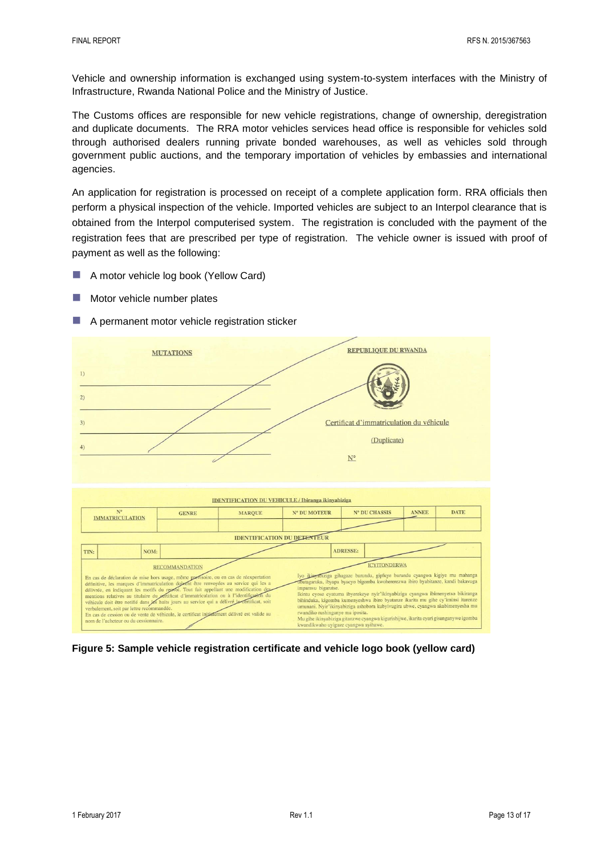Vehicle and ownership information is exchanged using system-to-system interfaces with the Ministry of Infrastructure, Rwanda National Police and the Ministry of Justice.

The Customs offices are responsible for new vehicle registrations, change of ownership, deregistration and duplicate documents. The RRA motor vehicles services head office is responsible for vehicles sold through authorised dealers running private bonded warehouses, as well as vehicles sold through government public auctions, and the temporary importation of vehicles by embassies and international agencies.

An application for registration is processed on receipt of a complete application form. RRA officials then perform a physical inspection of the vehicle. Imported vehicles are subject to an Interpol clearance that is obtained from the Interpol computerised system. The registration is concluded with the payment of the registration fees that are prescribed per type of registration. The vehicle owner is issued with proof of payment as well as the following:

- A motor vehicle log book (Yellow Card)
- **Motor vehicle number plates**
- A permanent motor vehicle registration sticker



**Figure 5: Sample vehicle registration certificate and vehicle logo book (yellow card)**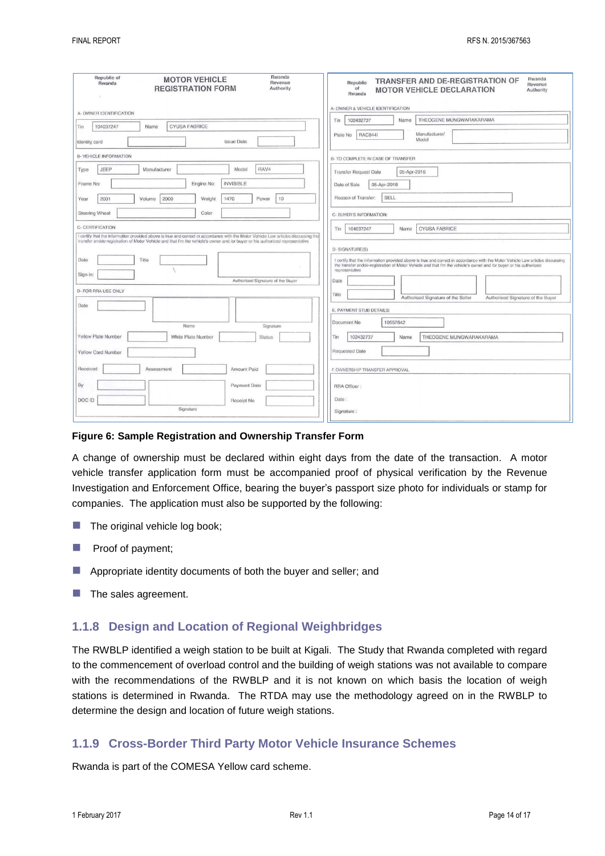| Rwanda<br>Republic of<br><b>MOTOR VEHICLE</b><br>Revenue<br>Rwanda<br><b>REGISTRATION FORM</b><br>Authority                                                                                                                                                        | Rwanda<br>TRANSFER AND DE-REGISTRATION OF<br>Republic<br>Revenue<br>of<br><b>MOTOR VEHICLE DECLARATION</b><br>Authority<br>Rwanda<br>A- OWNER & VEHICLE IDENTIFICATION                                                                                                |
|--------------------------------------------------------------------------------------------------------------------------------------------------------------------------------------------------------------------------------------------------------------------|-----------------------------------------------------------------------------------------------------------------------------------------------------------------------------------------------------------------------------------------------------------------------|
| A- OWNER IDENTIFICATION                                                                                                                                                                                                                                            | THEOGENE MUNGWARAKARAMA<br>102432737<br>Name<br>Tin                                                                                                                                                                                                                   |
| <b>CYUSA FABRICE</b><br>104037247<br>Name<br>Tin                                                                                                                                                                                                                   |                                                                                                                                                                                                                                                                       |
| <b>Issue Date</b><br>Identity card                                                                                                                                                                                                                                 | Manufacturer/<br><b>RAC8441</b><br>Plate No<br>Model                                                                                                                                                                                                                  |
| <b>B- VEHICLE INFORMATION</b>                                                                                                                                                                                                                                      | B- TO COMPLETE IN CASE OF TRANSFER                                                                                                                                                                                                                                    |
| RAV4<br>JEEP<br>Manufacturer<br>Model<br>Type                                                                                                                                                                                                                      | Transfer Request Date<br>05-Apr-2016                                                                                                                                                                                                                                  |
| <b>INVISIBLE</b><br>Engine No:<br>Frame No:                                                                                                                                                                                                                        | 05-Apr-2016<br>Date of Sale                                                                                                                                                                                                                                           |
| 2000<br>1470<br>10<br>2001<br>Volume<br>Weight<br>Power<br>Year                                                                                                                                                                                                    | SELL<br>Reason of Transfer:                                                                                                                                                                                                                                           |
| <b>Steering Wheel</b><br>Color                                                                                                                                                                                                                                     | C- BUYER'S INFORMATION:                                                                                                                                                                                                                                               |
| C- CERTIFICATION                                                                                                                                                                                                                                                   | <b>CYUSA FABRICE</b><br>104037247<br>Name<br>Tin                                                                                                                                                                                                                      |
| I certify that the information provided above is true and correct in accordance with the Motor Vehicle Law articles discussing the<br>transfer andde-registration of Motor Vehicle and that I'm the vehicle's owner and /or buyer or his authorized representative |                                                                                                                                                                                                                                                                       |
|                                                                                                                                                                                                                                                                    | D-SIGNATURE(S)                                                                                                                                                                                                                                                        |
| Date<br>Title                                                                                                                                                                                                                                                      | I certify that the information provided above is true and correct in accordance with the Motor Vehicle Law articles discussing<br>the transfer andde-registration of Motor Vehicle and that I'm the vehicle's owner and /or buyer or his authorized<br>representative |
| Sign in:<br>Authorised Signature of the Buyer                                                                                                                                                                                                                      | Date                                                                                                                                                                                                                                                                  |
| <b>D- FOR RRA USE ONLY</b>                                                                                                                                                                                                                                         | Title                                                                                                                                                                                                                                                                 |
|                                                                                                                                                                                                                                                                    | Authorised Signature of the Seller<br>Authorised Signature of the Buyer                                                                                                                                                                                               |
| Date                                                                                                                                                                                                                                                               | E. PAYMENT STUB DETAILS:                                                                                                                                                                                                                                              |
| Name<br>Signature                                                                                                                                                                                                                                                  | Document No<br>10557642                                                                                                                                                                                                                                               |
| <b>Yellow Plate Number</b><br>White Plate Number<br>Status                                                                                                                                                                                                         | 102432737<br>Tin<br>Name<br>THEOGENE MUNGWARAKARAMA                                                                                                                                                                                                                   |
| Yellow Card Number                                                                                                                                                                                                                                                 | Requested Date                                                                                                                                                                                                                                                        |
| Received<br>Amount Paid<br>Assessment                                                                                                                                                                                                                              | F.OWNERSHIP TRANSFER APPROVAL                                                                                                                                                                                                                                         |
| By<br>Payment Date                                                                                                                                                                                                                                                 | RRA Officer:                                                                                                                                                                                                                                                          |
| DOC ID<br>Receipt No.                                                                                                                                                                                                                                              | Date:                                                                                                                                                                                                                                                                 |
| Signature                                                                                                                                                                                                                                                          | Signature:                                                                                                                                                                                                                                                            |

#### **Figure 6: Sample Registration and Ownership Transfer Form**

A change of ownership must be declared within eight days from the date of the transaction. A motor vehicle transfer application form must be accompanied proof of physical verification by the Revenue Investigation and Enforcement Office, bearing the buyer's passport size photo for individuals or stamp for companies. The application must also be supported by the following:

- $\blacksquare$  The original vehicle log book;
- **Proof of payment;**
- **Appropriate identity documents of both the buyer and seller; and**
- $\blacksquare$  The sales agreement.

#### **1.1.8 Design and Location of Regional Weighbridges**

The RWBLP identified a weigh station to be built at Kigali. The Study that Rwanda completed with regard to the commencement of overload control and the building of weigh stations was not available to compare with the recommendations of the RWBLP and it is not known on which basis the location of weigh stations is determined in Rwanda. The RTDA may use the methodology agreed on in the RWBLP to determine the design and location of future weigh stations.

#### **1.1.9 Cross-Border Third Party Motor Vehicle Insurance Schemes**

Rwanda is part of the COMESA Yellow card scheme.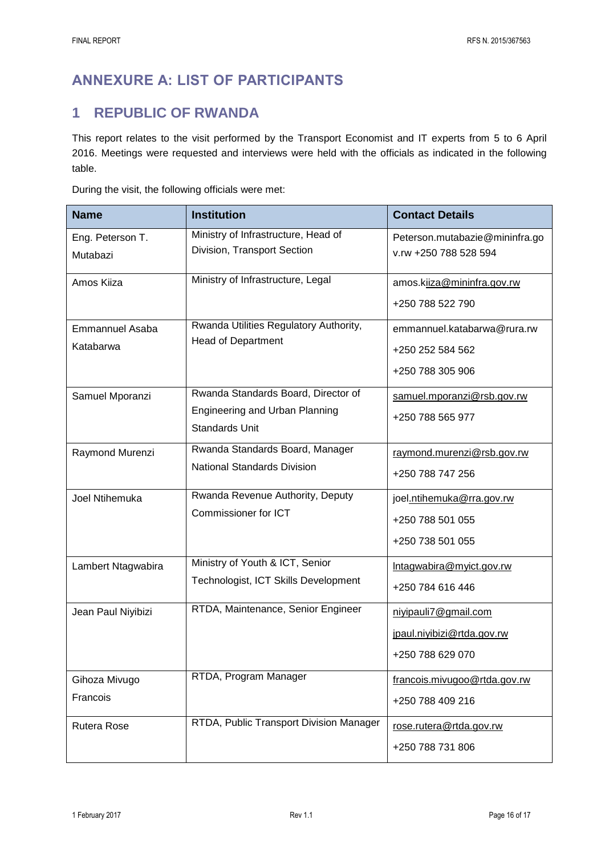# **ANNEXURE A: LIST OF PARTICIPANTS**

## **1 REPUBLIC OF RWANDA**

This report relates to the visit performed by the Transport Economist and IT experts from 5 to 6 April 2016. Meetings were requested and interviews were held with the officials as indicated in the following table.

During the visit, the following officials were met:

| <b>Name</b>                  | <b>Institution</b>                                                  | <b>Contact Details</b>                                  |
|------------------------------|---------------------------------------------------------------------|---------------------------------------------------------|
| Eng. Peterson T.<br>Mutabazi | Ministry of Infrastructure, Head of<br>Division, Transport Section  | Peterson.mutabazie@mininfra.go<br>v.rw +250 788 528 594 |
| Amos Kiiza                   | Ministry of Infrastructure, Legal                                   | amos.kiiza@mininfra.gov.rw                              |
|                              |                                                                     | +250 788 522 790                                        |
| Emmannuel Asaba              | Rwanda Utilities Regulatory Authority,<br><b>Head of Department</b> | emmannuel.katabarwa@rura.rw                             |
| Katabarwa                    |                                                                     | +250 252 584 562                                        |
|                              |                                                                     | +250 788 305 906                                        |
| Samuel Mporanzi              | Rwanda Standards Board, Director of                                 | samuel.mporanzi@rsb.gov.rw                              |
|                              | Engineering and Urban Planning<br><b>Standards Unit</b>             | +250 788 565 977                                        |
| Raymond Murenzi              | Rwanda Standards Board, Manager                                     | raymond.murenzi@rsb.gov.rw                              |
|                              | <b>National Standards Division</b>                                  | +250 788 747 256                                        |
| Joel Ntihemuka               | Rwanda Revenue Authority, Deputy                                    | joel.ntihemuka@rra.gov.rw                               |
|                              | Commissioner for ICT                                                | +250 788 501 055                                        |
|                              |                                                                     | +250 738 501 055                                        |
| Lambert Ntagwabira           | Ministry of Youth & ICT, Senior                                     | Intagwabira@myict.gov.rw                                |
|                              | Technologist, ICT Skills Development                                | +250 784 616 446                                        |
| Jean Paul Niyibizi           | RTDA, Maintenance, Senior Engineer                                  | niyipauli7@gmail.com                                    |
|                              |                                                                     | jpaul.niyibizi@rtda.gov.rw                              |
|                              |                                                                     | +250 788 629 070                                        |
| Gihoza Mivugo                | RTDA, Program Manager                                               | francois.mivugoo@rtda.gov.rw                            |
| Francois                     |                                                                     | +250 788 409 216                                        |
| <b>Rutera Rose</b>           | RTDA, Public Transport Division Manager                             | rose.rutera@rtda.gov.rw                                 |
|                              |                                                                     | +250 788 731 806                                        |